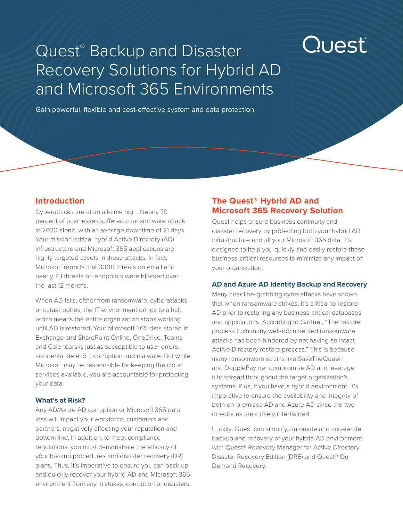# Quest<sup>®</sup> Backup and Disaster Recovery Solutions for Hybrid AD and Microsoft 365 Environments

Gain powerful, flexible and cost-effective system and data protection

# **Introduction**

Cyberattacks are at an all-time high. Nearly 70 percent of businesses suffered a ransomware attack in 2020 alone, with an average downtime of 21 days. Your mission-critical hybrid Active Directory (AD) infrastructure and Microsoft 365 applications are highly targeted assets in these attacks. In fact, Microsoft reports that 300B threats on email and nearly 7B threats on endpoints were blocked over the last 12 months.

When AD fails, either from ransomware, cyberattacks or catastrophes, the IT environment grinds to a halt, which means the entire organization stops working until AD is restored. Your Microsoft 365 data stored in Exchange and SharePoint Online, OneDrive, Teams and Calendars is just as susceptible to user errors, accidental deletion, corruption and malware. But while Microsoft may be responsible for keeping the cloud services available, you are accountable for protecting your data.

#### **What's at Risk?**

Any AD/Azure AD corruption or Microsoft 365 data loss will impact your workforce, customers and partners, negatively affecting your reputation and bottom line. In addition, to meet compliance regulations, you must demonstrate the efficacy of your backup procedures and disaster recovery (DR) plans. Thus, it's imperative to ensure you can back up and quickly recover your hybrid AD and Microsoft 365 environment from any mistakes, corruption or disasters.

# **The Quest® Hybrid AD and Microsoft 365 Recovery Solution**

Quest helps ensure business continuity and disaster recovery by protecting both your hybrid AD infrastructure and all your Microsoft 365 data. It's designed to help you quickly and easily restore these business-critical resources to minimize any impact on your organization.

Quest

#### **AD and Azure AD Identity Backup and Recovery**

Many headline-grabbing cyberattacks have shown that when ransomware strikes, it's critical to restore AD prior to restoring any business-critical databases and applications. According to Gartner, "The restore process from many well-documented ransomware attacks has been hindered by not having an intact Active Directory restore process." This is because many ransomware strains like SaveTheQueen and DopplePaymer compromise AD and leverage it to spread throughout the target organization's systems. Plus, if you have a hybrid environment, it's imperative to ensure the availability and integrity of both on-premises AD and Azure AD since the two directories are closely intertwined.

Luckily, Quest can simplify, automate and accelerate backup and recovery of your hybrid AD environment with Quest® Recovery Manager for Active Directory Disaster Recovery Edition (DRE) and Quest® On Demand Recovery.